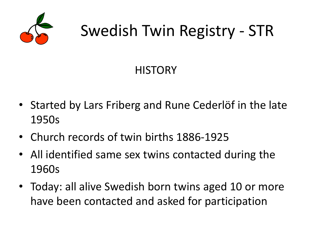

### Swedish Twin Registry - STR

#### **HISTORY**

- Started by Lars Friberg and Rune Cederlöf in the late 1950s
- Church records of twin births 1886-1925
- All identified same sex twins contacted during the 1960s
- Today: all alive Swedish born twins aged 10 or more have been contacted and asked for participation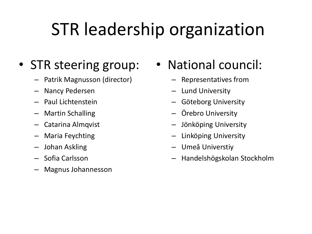# STR leadership organization

#### • STR steering group:

- Patrik Magnusson (director)
- Nancy Pedersen
- Paul Lichtenstein
- Martin Schalling
- Catarina Almqvist
- Maria Feychting
- Johan Askling
- Sofia Carlsson
- Magnus Johannesson

#### • National council:

- Representatives from
- Lund University
- Göteborg University
- Örebro University
- Jönköping University
- Linköping University
- Umeå Universtiy
- Handelshögskolan Stockholm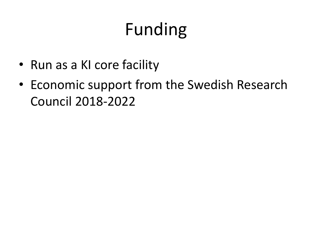# Funding

- Run as a KI core facility
- Economic support from the Swedish Research Council 2018-2022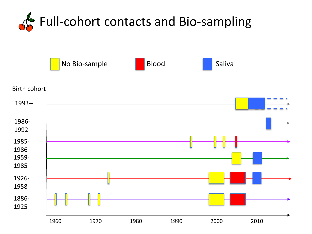



Birth cohort

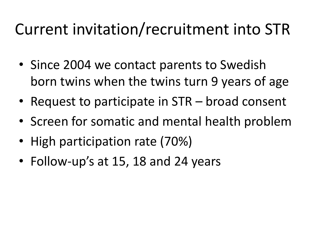### Current invitation/recruitment into STR

- Since 2004 we contact parents to Swedish born twins when the twins turn 9 years of age
- Request to participate in STR broad consent
- Screen for somatic and mental health problem
- High participation rate (70%)
- Follow-up's at 15, 18 and 24 years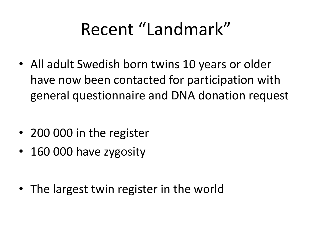## Recent "Landmark"

- All adult Swedish born twins 10 years or older have now been contacted for participation with general questionnaire and DNA donation request
- 200 000 in the register
- 160 000 have zygosity
- The largest twin register in the world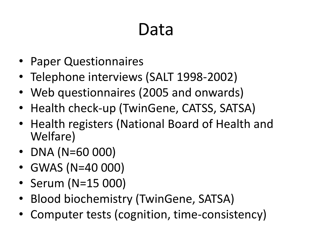## Data

- Paper Questionnaires
- Telephone interviews (SALT 1998-2002)
- Web questionnaires (2005 and onwards)
- Health check-up (TwinGene, CATSS, SATSA)
- Health registers (National Board of Health and Welfare)
- DNA (N=60 000)
- GWAS (N=40 000)
- Serum (N=15 000)
- Blood biochemistry (TwinGene, SATSA)
- Computer tests (cognition, time-consistency)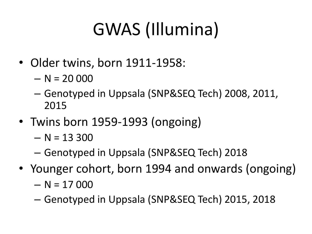# GWAS (Illumina)

- Older twins, born 1911-1958:
	- $N = 20000$
	- Genotyped in Uppsala (SNP&SEQ Tech) 2008, 2011, 2015
- Twins born 1959-1993 (ongoing)
	- $N = 13300$
	- Genotyped in Uppsala (SNP&SEQ Tech) 2018
- Younger cohort, born 1994 and onwards (ongoing)
	- $N = 17000$
	- Genotyped in Uppsala (SNP&SEQ Tech) 2015, 2018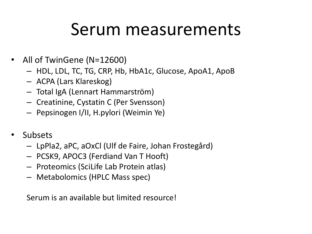### Serum measurements

- All of TwinGene (N=12600)
	- HDL, LDL, TC, TG, CRP, Hb, HbA1c, Glucose, ApoA1, ApoB
	- ACPA (Lars Klareskog)
	- Total IgA (Lennart Hammarström)
	- Creatinine, Cystatin C (Per Svensson)
	- Pepsinogen I/II, H.pylori (Weimin Ye)
- **Subsets** 
	- LpPla2, aPC, aOxCl (Ulf de Faire, Johan Frostegård)
	- PCSK9, APOC3 (Ferdiand Van T Hooft)
	- Proteomics (SciLife Lab Protein atlas)
	- Metabolomics (HPLC Mass spec)

Serum is an available but limited resource!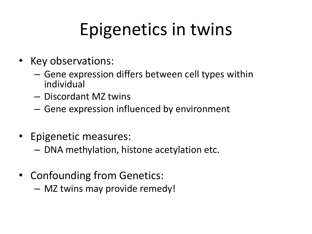# Epigenetics in twins

- Key observations:
	- Gene expression differs between cell types within individual
	- Discordant MZ twins
	- Gene expression influenced by environment
- Epigenetic measures:
	- DNA methylation, histone acetylation etc.
- Confounding from Genetics:
	- MZ twins may provide remedy!